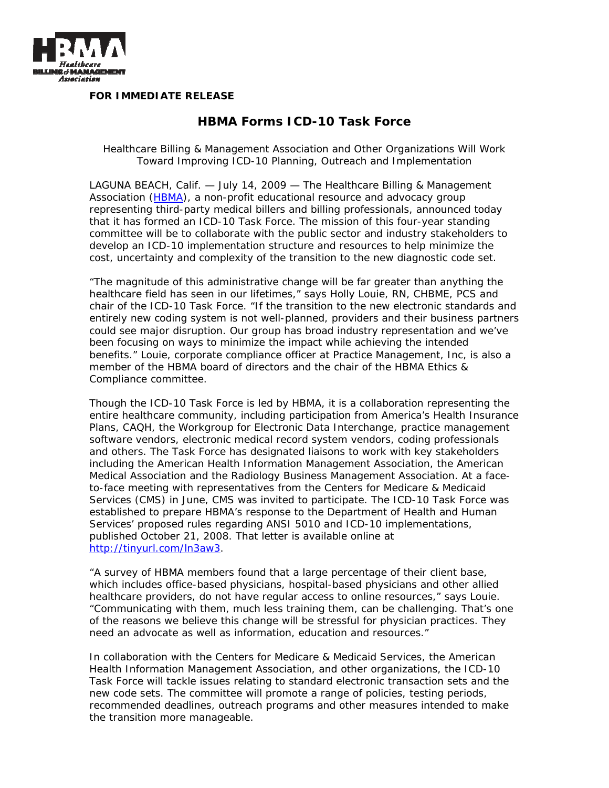

**FOR IMMEDIATE RELEASE** 

## **HBMA Forms ICD-10 Task Force**

*Healthcare Billing & Management Association and Other Organizations Will Work Toward Improving ICD-10 Planning, Outreach and Implementation* 

LAGUNA BEACH, Calif. — July 14, 2009 — The Healthcare Billing & Management Association (HBMA), a non-profit educational resource and advocacy group representing third-party medical billers and billing professionals, announced today that it has formed an ICD-10 Task Force. The mission of this four-year standing committee will be to collaborate with the public sector and industry stakeholders to develop an ICD-10 implementation structure and resources to help minimize the cost, uncertainty and complexity of the transition to the new diagnostic code set.

"The magnitude of this administrative change will be far greater than anything the healthcare field has seen in our lifetimes," says Holly Louie, RN, CHBME, PCS and chair of the ICD-10 Task Force. "If the transition to the new electronic standards and entirely new coding system is not well-planned, providers and their business partners could see major disruption. Our group has broad industry representation and we've been focusing on ways to minimize the impact while achieving the intended benefits." Louie, corporate compliance officer at Practice Management, Inc, is also a member of the HBMA board of directors and the chair of the HBMA Ethics & Compliance committee.

Though the ICD-10 Task Force is led by HBMA, it is a collaboration representing the entire healthcare community, including participation from America's Health Insurance Plans, CAQH, the Workgroup for Electronic Data Interchange, practice management software vendors, electronic medical record system vendors, coding professionals and others. The Task Force has designated liaisons to work with key stakeholders including the American Health Information Management Association, the American Medical Association and the Radiology Business Management Association. At a faceto-face meeting with representatives from the Centers for Medicare & Medicaid Services (CMS) in June, CMS was invited to participate. The ICD-10 Task Force was established to prepare HBMA's response to the Department of Health and Human Services' proposed rules regarding ANSI 5010 and ICD-10 implementations, published October 21, 2008. That letter is available online at http://tinyurl.com/ln3aw3.

"A survey of HBMA members found that a large percentage of their client base, which includes office-based physicians, hospital-based physicians and other allied healthcare providers, do not have regular access to online resources," says Louie. "Communicating with them, much less training them, can be challenging. That's one of the reasons we believe this change will be stressful for physician practices. They need an advocate as well as information, education and resources."

In collaboration with the Centers for Medicare & Medicaid Services, the American Health Information Management Association, and other organizations, the ICD-10 Task Force will tackle issues relating to standard electronic transaction sets and the new code sets. The committee will promote a range of policies, testing periods, recommended deadlines, outreach programs and other measures intended to make the transition more manageable.